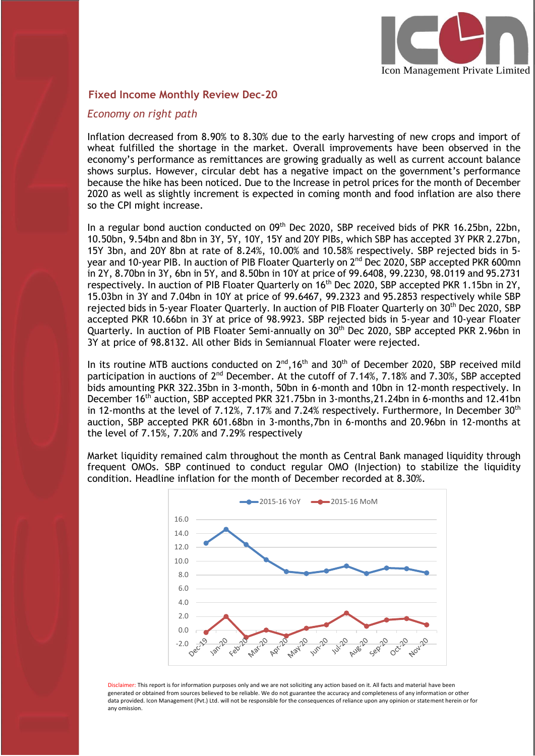

### **Fixed Income Monthly Review Dec-20**

#### *Economy on right path*

I

Inflation decreased from 8.90% to 8.30% due to the early harvesting of new crops and import of wheat fulfilled the shortage in the market. Overall improvements have been observed in the economy's performance as remittances are growing gradually as well as current account balance shows surplus. However, circular debt has a negative impact on the government's performance because the hike has been noticed. Due to the Increase in petrol prices for the month of December 2020 as well as slightly increment is expected in coming month and food inflation are also there so the CPI might increase.

In a regular bond auction conducted on 09<sup>th</sup> Dec 2020, SBP received bids of PKR 16.25bn, 22bn, 10.50bn, 9.54bn and 8bn in 3Y, 5Y, 10Y, 15Y and 20Y PIBs, which SBP has accepted 3Y PKR 2.27bn, 15Y 3bn, and 20Y 8bn at rate of 8.24%, 10.00% and 10.58% respectively. SBP rejected bids in 5 year and 10-year PIB. In auction of PIB Floater Quarterly on 2<sup>nd</sup> Dec 2020, SBP accepted PKR 600mn in 2Y, 8.70bn in 3Y, 6bn in 5Y, and 8.50bn in 10Y at price of 99.6408, 99.2230, 98.0119 and 95.2731 respectively. In auction of PIB Floater Quarterly on 16<sup>th</sup> Dec 2020, SBP accepted PKR 1.15bn in 2Y, 15.03bn in 3Y and 7.04bn in 10Y at price of 99.6467, 99.2323 and 95.2853 respectively while SBP rejected bids in 5-year Floater Quarterly. In auction of PIB Floater Quarterly on 30<sup>th</sup> Dec 2020, SBP accepted PKR 10.66bn in 3Y at price of 98.9923. SBP rejected bids in 5-year and 10-year Floater Quarterly. In auction of PIB Floater Semi-annually on 30<sup>th</sup> Dec 2020, SBP accepted PKR 2.96bn in 3Y at price of 98.8132. All other Bids in Semiannual Floater were rejected.

In its routine MTB auctions conducted on  $2^{\text{nd}}$ ,16<sup>th</sup> and 30<sup>th</sup> of December 2020, SBP received mild participation in auctions of 2<sup>nd</sup> December. At the cutoff of 7.14%, 7.18% and 7.30%, SBP accepted bids amounting PKR 322.35bn in 3-month, 50bn in 6-month and 10bn in 12-month respectively. In December 16<sup>th</sup> auction, SBP accepted PKR 321.75bn in 3-months, 21.24bn in 6-months and 12.41bn in 12-months at the level of 7.12%, 7.17% and 7.24% respectively. Furthermore, In December  $30<sup>th</sup>$ auction, SBP accepted PKR 601.68bn in 3-months,7bn in 6-months and 20.96bn in 12-months at the level of 7.15%, 7.20% and 7.29% respectively

Market liquidity remained calm throughout the month as Central Bank managed liquidity through frequent OMOs. SBP continued to conduct regular OMO (Injection) to stabilize the liquidity condition. Headline inflation for the month of December recorded at 8.30%.



Disclaimer: This report is for information purposes only and we are not soliciting any action based on it. All facts and material have been generated or obtained from sources believed to be reliable. We do not guarantee the accuracy and completeness of any information or other data provided. Icon Management (Pvt.) Ltd. will not be responsible for the consequences of reliance upon any opinion or statement herein or for any omission.